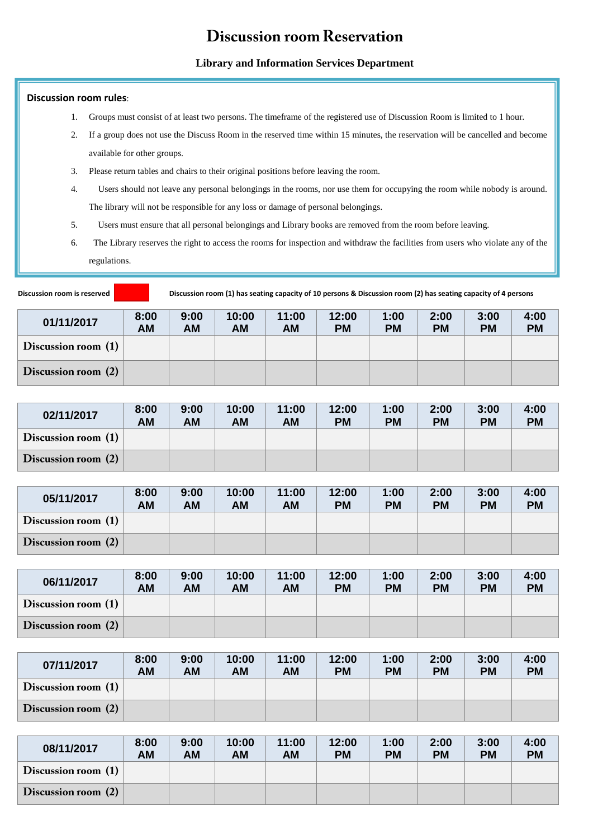## **Discussion room Reservation**

## **Library and Information Services Department**

## **Discussion room rules**:

- 1. Groups must consist of at least two persons. The timeframe of the registered use of Discussion Room is limited to 1 hour.
- 2. If a group does not use the Discuss Room in the reserved time within 15 minutes, the reservation will be cancelled and become available for other groups.
- 3. Please return tables and chairs to their original positions before leaving the room.
- 4. Users should not leave any personal belongings in the rooms, nor use them for occupying the room while nobody is around. The library will not be responsible for any loss or damage of personal belongings.
- 5. Users must ensure that all personal belongings and Library books are removed from the room before leaving.
- 6. The Library reserves the right to access the rooms for inspection and withdraw the facilities from users who violate any of the regulations.

**Discussion room is reserved Discussion room (1) has seating capacity of 10 persons & Discussion room (2) has seating capacity of 4 persons**

| 01/11/2017          | 8:00<br>AM | 9:00<br><b>AM</b> | 10:00<br><b>AM</b> | 11:00<br>AM | 12:00<br><b>PM</b> | 1:00<br><b>PM</b> | 2:00<br><b>PM</b> | 3:00<br><b>PM</b> | 4:00<br><b>PM</b> |
|---------------------|------------|-------------------|--------------------|-------------|--------------------|-------------------|-------------------|-------------------|-------------------|
| Discussion room (1) |            |                   |                    |             |                    |                   |                   |                   |                   |
| Discussion room (2) |            |                   |                    |             |                    |                   |                   |                   |                   |

| 02/11/2017          | 8:00<br><b>AM</b> | 9:00<br>AM | 10:00<br>AM | 11:00<br>AM | 12:00<br><b>PM</b> | 1:00<br><b>PM</b> | 2:00<br><b>PM</b> | 3:00<br><b>PM</b> | 4:00<br><b>PM</b> |
|---------------------|-------------------|------------|-------------|-------------|--------------------|-------------------|-------------------|-------------------|-------------------|
| Discussion room (1) |                   |            |             |             |                    |                   |                   |                   |                   |
| Discussion room (2) |                   |            |             |             |                    |                   |                   |                   |                   |

| 05/11/2017          | 8:00<br><b>AM</b> | 9:00<br>AM | 10:00<br>AM | 11:00<br>AM | 12:00<br><b>PM</b> | 1:00<br><b>PM</b> | 2:00<br><b>PM</b> | 3:00<br><b>PM</b> | 4:00<br><b>PM</b> |
|---------------------|-------------------|------------|-------------|-------------|--------------------|-------------------|-------------------|-------------------|-------------------|
| Discussion room (1) |                   |            |             |             |                    |                   |                   |                   |                   |
| Discussion room (2) |                   |            |             |             |                    |                   |                   |                   |                   |

| 06/11/2017            | 8:00<br>AM | 9:00<br>AM | 10:00<br>AM | 11:00<br>AM | 12:00<br><b>PM</b> | 1:00<br><b>PM</b> | 2:00<br><b>PM</b> | 3:00<br><b>PM</b> | 4:00<br><b>PM</b> |
|-----------------------|------------|------------|-------------|-------------|--------------------|-------------------|-------------------|-------------------|-------------------|
| Discussion room $(1)$ |            |            |             |             |                    |                   |                   |                   |                   |
| Discussion room (2)   |            |            |             |             |                    |                   |                   |                   |                   |

| 07/11/2017          | 8:00<br>AM | 9:00<br>AM | 10:00<br>AM | 11:00<br>AM | 12:00<br><b>PM</b> | 1:00<br><b>PM</b> | 2:00<br><b>PM</b> | 3:00<br><b>PM</b> | 4:00<br><b>PM</b> |
|---------------------|------------|------------|-------------|-------------|--------------------|-------------------|-------------------|-------------------|-------------------|
| Discussion room (1) |            |            |             |             |                    |                   |                   |                   |                   |
| Discussion room (2) |            |            |             |             |                    |                   |                   |                   |                   |

| 08/11/2017          | 8:00<br>AM | 9:00<br>AM | 10:00<br><b>AM</b> | 11:00<br>АM | 12:00<br><b>PM</b> | 1:00<br><b>PM</b> | 2:00<br><b>PM</b> | 3:00<br><b>PM</b> | 4:00<br><b>PM</b> |
|---------------------|------------|------------|--------------------|-------------|--------------------|-------------------|-------------------|-------------------|-------------------|
| Discussion room (1) |            |            |                    |             |                    |                   |                   |                   |                   |
| Discussion room (2) |            |            |                    |             |                    |                   |                   |                   |                   |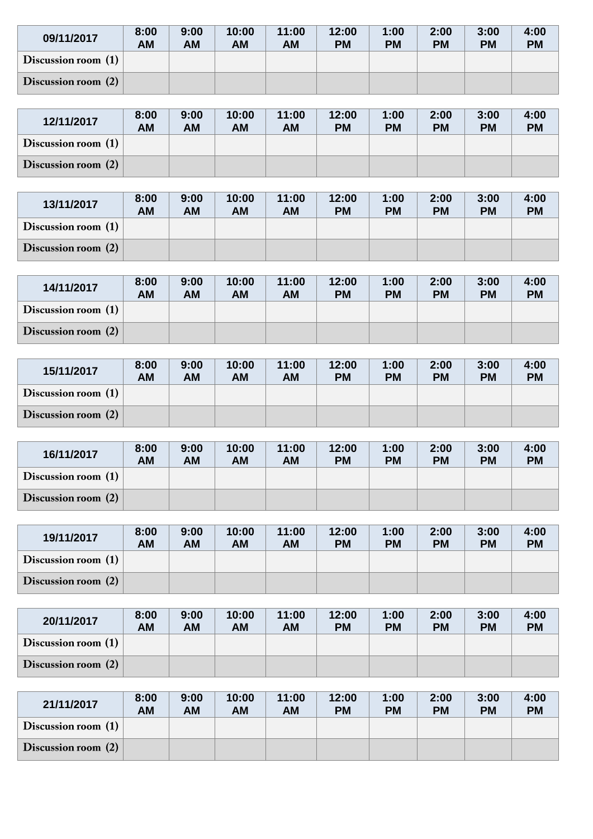| 09/11/2017          | 8:00<br>AM | 9:00<br>AM | 10:00<br>AM | 11:00<br><b>AM</b> | 12:00<br><b>PM</b> | 1:00<br><b>PM</b> | 2:00<br><b>PM</b> | 3:00<br><b>PM</b> | 4:00<br><b>PM</b> |
|---------------------|------------|------------|-------------|--------------------|--------------------|-------------------|-------------------|-------------------|-------------------|
| Discussion room (1) |            |            |             |                    |                    |                   |                   |                   |                   |
| Discussion room (2) |            |            |             |                    |                    |                   |                   |                   |                   |

| 12/11/2017          | 8:00<br>AM | 9:00<br>AM | 10:00<br>AM | 11:00<br>AM | 12:00<br><b>PM</b> | 1:00<br><b>PM</b> | 2:00<br><b>PM</b> | 3:00<br><b>PM</b> | 4:00<br><b>PM</b> |
|---------------------|------------|------------|-------------|-------------|--------------------|-------------------|-------------------|-------------------|-------------------|
| Discussion room (1) |            |            |             |             |                    |                   |                   |                   |                   |
| Discussion room (2) |            |            |             |             |                    |                   |                   |                   |                   |

| 13/11/2017            | 8:00<br>AM | 9:00<br>AM | 10:00<br>AM | 11:00<br>AM | 12:00<br><b>PM</b> | 1:00<br><b>PM</b> | 2:00<br><b>PM</b> | 3:00<br><b>PM</b> | 4:00<br><b>PM</b> |
|-----------------------|------------|------------|-------------|-------------|--------------------|-------------------|-------------------|-------------------|-------------------|
| Discussion room $(1)$ |            |            |             |             |                    |                   |                   |                   |                   |
| Discussion room (2)   |            |            |             |             |                    |                   |                   |                   |                   |

| 14/11/2017          | 8:00<br>AM | 9:00<br><b>AM</b> | 10:00<br><b>AM</b> | 11:00<br><b>AM</b> | 12:00<br><b>PM</b> | 1:00<br><b>PM</b> | 2:00<br><b>PM</b> | 3:00<br><b>PM</b> | 4:00<br><b>PM</b> |
|---------------------|------------|-------------------|--------------------|--------------------|--------------------|-------------------|-------------------|-------------------|-------------------|
| Discussion room (1) |            |                   |                    |                    |                    |                   |                   |                   |                   |
| Discussion room (2) |            |                   |                    |                    |                    |                   |                   |                   |                   |

| 15/11/2017          | 8:00<br><b>AM</b> | 9:00<br>AM | 10:00<br>AM | 11:00<br>AM | 12:00<br><b>PM</b> | 1:00<br><b>PM</b> | 2:00<br><b>PM</b> | 3:00<br><b>PM</b> | 4:00<br><b>PM</b> |
|---------------------|-------------------|------------|-------------|-------------|--------------------|-------------------|-------------------|-------------------|-------------------|
| Discussion room (1) |                   |            |             |             |                    |                   |                   |                   |                   |
| Discussion room (2) |                   |            |             |             |                    |                   |                   |                   |                   |

| 16/11/2017            | 8:00<br>АM | 9:00<br>AM | 10:00<br>AM | 11:00<br>AM | 12:00<br><b>PM</b> | 1:00<br><b>PM</b> | 2:00<br><b>PM</b> | 3:00<br><b>PM</b> | 4:00<br><b>PM</b> |
|-----------------------|------------|------------|-------------|-------------|--------------------|-------------------|-------------------|-------------------|-------------------|
| Discussion room (1)   |            |            |             |             |                    |                   |                   |                   |                   |
| Discussion room $(2)$ |            |            |             |             |                    |                   |                   |                   |                   |

| 19/11/2017          | 8:00<br>AM | 9:00<br>АM | 10:00<br>ΑM | 11:00<br>АM | 12:00<br><b>PM</b> | 1:00<br><b>PM</b> | 2:00<br><b>PM</b> | 3:00<br><b>PM</b> | 4:00<br><b>PM</b> |
|---------------------|------------|------------|-------------|-------------|--------------------|-------------------|-------------------|-------------------|-------------------|
| Discussion room (1) |            |            |             |             |                    |                   |                   |                   |                   |
| Discussion room (2) |            |            |             |             |                    |                   |                   |                   |                   |

| 20/11/2017          | 8:00<br>AM | 9:00<br>АM | 10:00<br>AM | 11:00<br>AM | 12:00<br><b>PM</b> | 1:00<br><b>PM</b> | 2:00<br><b>PM</b> | 3:00<br><b>PM</b> | 4:00<br><b>PM</b> |
|---------------------|------------|------------|-------------|-------------|--------------------|-------------------|-------------------|-------------------|-------------------|
| Discussion room (1) |            |            |             |             |                    |                   |                   |                   |                   |
| Discussion room (2) |            |            |             |             |                    |                   |                   |                   |                   |

| 21/11/2017          | 8:00<br>AM | 9:00<br>АM | 10:00<br>AM | 11:00<br><b>AM</b> | 12:00<br><b>PM</b> | 1:00<br><b>PM</b> | 2:00<br><b>PM</b> | 3:00<br><b>PM</b> | 4:00<br><b>PM</b> |
|---------------------|------------|------------|-------------|--------------------|--------------------|-------------------|-------------------|-------------------|-------------------|
| Discussion room (1) |            |            |             |                    |                    |                   |                   |                   |                   |
| Discussion room (2) |            |            |             |                    |                    |                   |                   |                   |                   |